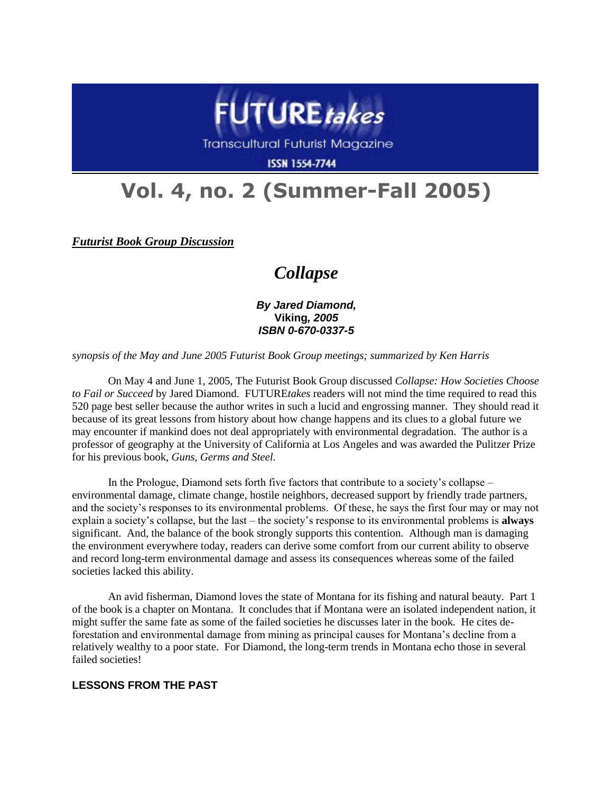

**Transcultural Futurist Magazine** 

**ISSN 1554-7744** 

# **Vol. 4, no. 2 (Summer-Fall 2005)**

*Futurist Book Group Discussion*

## *Collapse*

*By Jared Diamond,* **Viking***, 2005 ISBN 0-670-0337-5*

*synopsis of the May and June 2005 Futurist Book Group meetings; summarized by Ken Harris*

On May 4 and June 1, 2005, The Futurist Book Group discussed *Collapse: How Societies Choose to Fail or Succeed* by Jared Diamond. FUTURE*takes* readers will not mind the time required to read this 520 page best seller because the author writes in such a lucid and engrossing manner. They should read it because of its great lessons from history about how change happens and its clues to a global future we may encounter if mankind does not deal appropriately with environmental degradation. The author is a professor of geography at the University of California at Los Angeles and was awarded the Pulitzer Prize for his previous book, *Guns, Germs and Steel.*

In the Prologue, Diamond sets forth five factors that contribute to a society's collapse – environmental damage, climate change, hostile neighbors, decreased support by friendly trade partners, and the society's responses to its environmental problems. Of these, he says the first four may or may not explain a society's collapse, but the last – the society's response to its environmental problems is **always** significant. And, the balance of the book strongly supports this contention. Although man is damaging the environment everywhere today, readers can derive some comfort from our current ability to observe and record long-term environmental damage and assess its consequences whereas some of the failed societies lacked this ability.

An avid fisherman, Diamond loves the state of Montana for its fishing and natural beauty. Part 1 of the book is a chapter on Montana. It concludes that if Montana were an isolated independent nation, it might suffer the same fate as some of the failed societies he discusses later in the book. He cites deforestation and environmental damage from mining as principal causes for Montana's decline from a relatively wealthy to a poor state. For Diamond, the long-term trends in Montana echo those in several failed societies!

#### **LESSONS FROM THE PAST**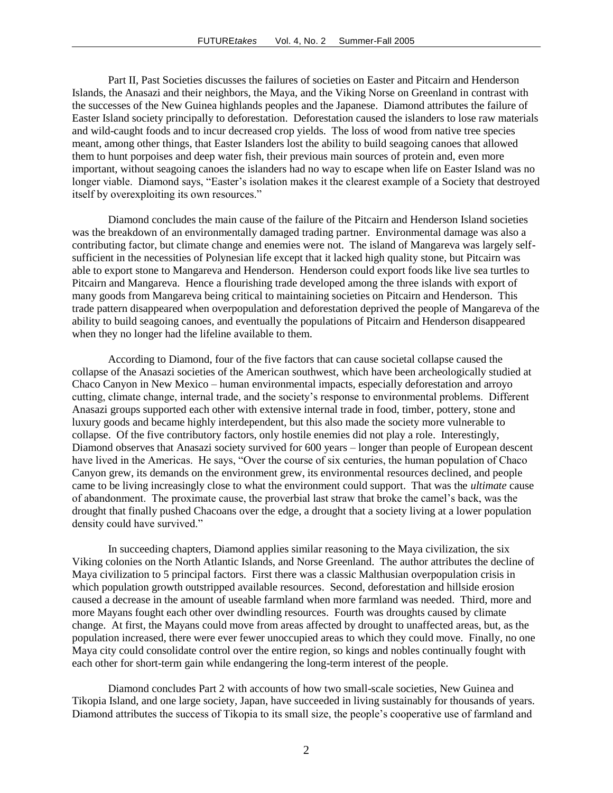Part II, Past Societies discusses the failures of societies on Easter and Pitcairn and Henderson Islands, the Anasazi and their neighbors, the Maya, and the Viking Norse on Greenland in contrast with the successes of the New Guinea highlands peoples and the Japanese. Diamond attributes the failure of Easter Island society principally to deforestation. Deforestation caused the islanders to lose raw materials and wild-caught foods and to incur decreased crop yields. The loss of wood from native tree species meant, among other things, that Easter Islanders lost the ability to build seagoing canoes that allowed them to hunt porpoises and deep water fish, their previous main sources of protein and, even more important, without seagoing canoes the islanders had no way to escape when life on Easter Island was no longer viable. Diamond says, "Easter's isolation makes it the clearest example of a Society that destroyed itself by overexploiting its own resources."

Diamond concludes the main cause of the failure of the Pitcairn and Henderson Island societies was the breakdown of an environmentally damaged trading partner. Environmental damage was also a contributing factor, but climate change and enemies were not. The island of Mangareva was largely selfsufficient in the necessities of Polynesian life except that it lacked high quality stone, but Pitcairn was able to export stone to Mangareva and Henderson. Henderson could export foods like live sea turtles to Pitcairn and Mangareva. Hence a flourishing trade developed among the three islands with export of many goods from Mangareva being critical to maintaining societies on Pitcairn and Henderson. This trade pattern disappeared when overpopulation and deforestation deprived the people of Mangareva of the ability to build seagoing canoes, and eventually the populations of Pitcairn and Henderson disappeared when they no longer had the lifeline available to them.

According to Diamond, four of the five factors that can cause societal collapse caused the collapse of the Anasazi societies of the American southwest, which have been archeologically studied at Chaco Canyon in New Mexico – human environmental impacts, especially deforestation and arroyo cutting, climate change, internal trade, and the society's response to environmental problems. Different Anasazi groups supported each other with extensive internal trade in food, timber, pottery, stone and luxury goods and became highly interdependent, but this also made the society more vulnerable to collapse. Of the five contributory factors, only hostile enemies did not play a role. Interestingly, Diamond observes that Anasazi society survived for 600 years – longer than people of European descent have lived in the Americas. He says, "Over the course of six centuries, the human population of Chaco Canyon grew, its demands on the environment grew, its environmental resources declined, and people came to be living increasingly close to what the environment could support. That was the *ultimate* cause of abandonment. The proximate cause, the proverbial last straw that broke the camel's back, was the drought that finally pushed Chacoans over the edge, a drought that a society living at a lower population density could have survived."

In succeeding chapters, Diamond applies similar reasoning to the Maya civilization, the six Viking colonies on the North Atlantic Islands, and Norse Greenland. The author attributes the decline of Maya civilization to 5 principal factors. First there was a classic Malthusian overpopulation crisis in which population growth outstripped available resources. Second, deforestation and hillside erosion caused a decrease in the amount of useable farmland when more farmland was needed. Third, more and more Mayans fought each other over dwindling resources. Fourth was droughts caused by climate change. At first, the Mayans could move from areas affected by drought to unaffected areas, but, as the population increased, there were ever fewer unoccupied areas to which they could move. Finally, no one Maya city could consolidate control over the entire region, so kings and nobles continually fought with each other for short-term gain while endangering the long-term interest of the people.

Diamond concludes Part 2 with accounts of how two small-scale societies, New Guinea and Tikopia Island, and one large society, Japan, have succeeded in living sustainably for thousands of years. Diamond attributes the success of Tikopia to its small size, the people's cooperative use of farmland and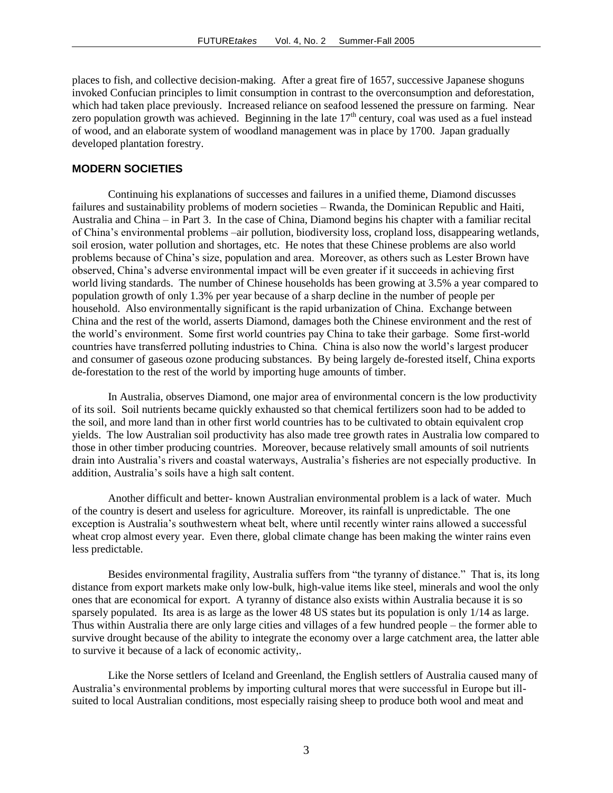places to fish, and collective decision-making. After a great fire of 1657, successive Japanese shoguns invoked Confucian principles to limit consumption in contrast to the overconsumption and deforestation, which had taken place previously. Increased reliance on seafood lessened the pressure on farming. Near zero population growth was achieved. Beginning in the late  $17<sup>th</sup>$  century, coal was used as a fuel instead of wood, and an elaborate system of woodland management was in place by 1700. Japan gradually developed plantation forestry.

#### **MODERN SOCIETIES**

Continuing his explanations of successes and failures in a unified theme, Diamond discusses failures and sustainability problems of modern societies – Rwanda, the Dominican Republic and Haiti, Australia and China – in Part 3. In the case of China, Diamond begins his chapter with a familiar recital of China's environmental problems –air pollution, biodiversity loss, cropland loss, disappearing wetlands, soil erosion, water pollution and shortages, etc. He notes that these Chinese problems are also world problems because of China's size, population and area. Moreover, as others such as Lester Brown have observed, China's adverse environmental impact will be even greater if it succeeds in achieving first world living standards. The number of Chinese households has been growing at 3.5% a year compared to population growth of only 1.3% per year because of a sharp decline in the number of people per household. Also environmentally significant is the rapid urbanization of China. Exchange between China and the rest of the world, asserts Diamond, damages both the Chinese environment and the rest of the world's environment. Some first world countries pay China to take their garbage. Some first-world countries have transferred polluting industries to China. China is also now the world's largest producer and consumer of gaseous ozone producing substances. By being largely de-forested itself, China exports de-forestation to the rest of the world by importing huge amounts of timber.

In Australia, observes Diamond, one major area of environmental concern is the low productivity of its soil. Soil nutrients became quickly exhausted so that chemical fertilizers soon had to be added to the soil, and more land than in other first world countries has to be cultivated to obtain equivalent crop yields. The low Australian soil productivity has also made tree growth rates in Australia low compared to those in other timber producing countries. Moreover, because relatively small amounts of soil nutrients drain into Australia's rivers and coastal waterways, Australia's fisheries are not especially productive. In addition, Australia's soils have a high salt content.

Another difficult and better- known Australian environmental problem is a lack of water. Much of the country is desert and useless for agriculture. Moreover, its rainfall is unpredictable. The one exception is Australia's southwestern wheat belt, where until recently winter rains allowed a successful wheat crop almost every year. Even there, global climate change has been making the winter rains even less predictable.

Besides environmental fragility, Australia suffers from "the tyranny of distance." That is, its long distance from export markets make only low-bulk, high-value items like steel, minerals and wool the only ones that are economical for export. A tyranny of distance also exists within Australia because it is so sparsely populated. Its area is as large as the lower 48 US states but its population is only 1/14 as large. Thus within Australia there are only large cities and villages of a few hundred people – the former able to survive drought because of the ability to integrate the economy over a large catchment area, the latter able to survive it because of a lack of economic activity,.

Like the Norse settlers of Iceland and Greenland, the English settlers of Australia caused many of Australia's environmental problems by importing cultural mores that were successful in Europe but illsuited to local Australian conditions, most especially raising sheep to produce both wool and meat and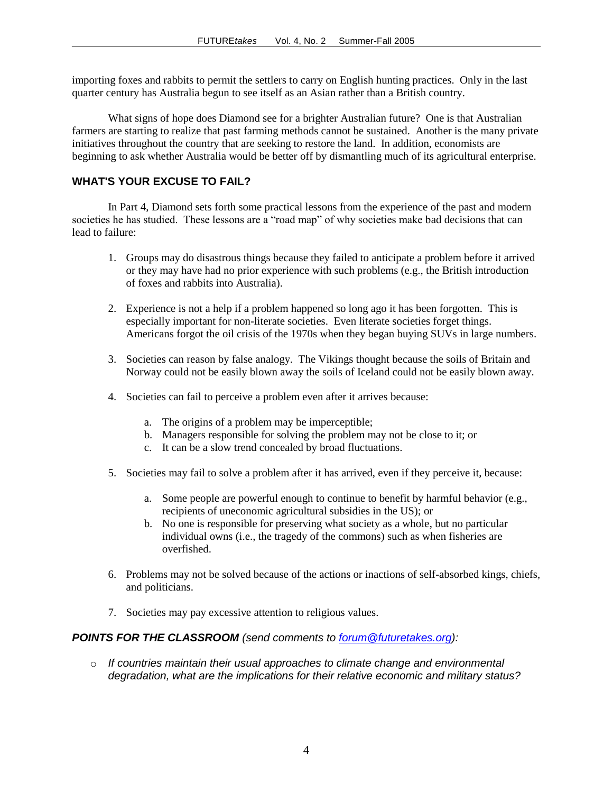importing foxes and rabbits to permit the settlers to carry on English hunting practices. Only in the last quarter century has Australia begun to see itself as an Asian rather than a British country.

What signs of hope does Diamond see for a brighter Australian future? One is that Australian farmers are starting to realize that past farming methods cannot be sustained. Another is the many private initiatives throughout the country that are seeking to restore the land. In addition, economists are beginning to ask whether Australia would be better off by dismantling much of its agricultural enterprise.

### **WHAT'S YOUR EXCUSE TO FAIL?**

In Part 4, Diamond sets forth some practical lessons from the experience of the past and modern societies he has studied. These lessons are a "road map" of why societies make bad decisions that can lead to failure:

- 1. Groups may do disastrous things because they failed to anticipate a problem before it arrived or they may have had no prior experience with such problems (e.g., the British introduction of foxes and rabbits into Australia).
- 2. Experience is not a help if a problem happened so long ago it has been forgotten. This is especially important for non-literate societies. Even literate societies forget things. Americans forgot the oil crisis of the 1970s when they began buying SUVs in large numbers.
- 3. Societies can reason by false analogy. The Vikings thought because the soils of Britain and Norway could not be easily blown away the soils of Iceland could not be easily blown away.
- 4. Societies can fail to perceive a problem even after it arrives because:
	- a. The origins of a problem may be imperceptible;
	- b. Managers responsible for solving the problem may not be close to it; or
	- c. It can be a slow trend concealed by broad fluctuations.
- 5. Societies may fail to solve a problem after it has arrived, even if they perceive it, because:
	- a. Some people are powerful enough to continue to benefit by harmful behavior (e.g., recipients of uneconomic agricultural subsidies in the US); or
	- b. No one is responsible for preserving what society as a whole, but no particular individual owns (i.e., the tragedy of the commons) such as when fisheries are overfished.
- 6. Problems may not be solved because of the actions or inactions of self-absorbed kings, chiefs, and politicians.
- 7. Societies may pay excessive attention to religious values.

#### *POINTS FOR THE CLASSROOM (send comments to [forum@futuretakes.org\)](mailto:forum@futuretakes.org):*

o *If countries maintain their usual approaches to climate change and environmental degradation, what are the implications for their relative economic and military status?*